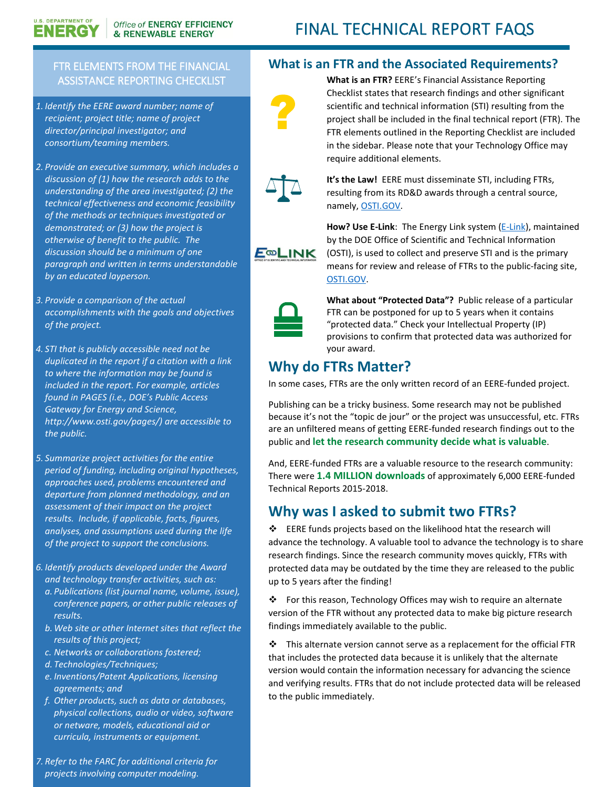# FINAL TECHNICAL REPORT FAQS

#### FTR ELEMENTS FROM THE FINANCIAL ASSISTANCE REPORTING CHECKLIST

*1. Identify the EERE award number; name of recipient; project title; name of project director/principal investigator; and consortium/teaming members.*

**U.S. DEPARTMENT OF** 

ENERGY

- *2. Provide an executive summary, which includes a discussion of (1) how the research adds to the understanding of the area investigated; (2) the technical effectiveness and economic feasibility of the methods or techniques investigated or demonstrated; or (3) how the project is otherwise of benefit to the public. The discussion should be a minimum of one paragraph and written in terms understandable by an educated layperson.*
- *3. Provide a comparison of the actual accomplishments with the goals and objectives of the project.*
- *4. STI that is publicly accessible need not be duplicated in the report if a citation with a link to where the information may be found is included in the report. For example, articles found in PAGES (i.e., DOE's Public Access Gateway for Energy and Science, http://www.osti.gov/pages/) are accessible to the public.*
- *5. Summarize project activities for the entire period of funding, including original hypotheses, approaches used, problems encountered and departure from planned methodology, and an assessment of their impact on the project results. Include, if applicable, facts, figures, analyses, and assumptions used during the life of the project to support the conclusions.*
- *6. Identify products developed under the Award and technology transfer activities, such as:*
	- *a. Publications (list journal name, volume, issue), conference papers, or other public releases of results.*
	- *b.Web site or other Internet sites that reflect the results of this project;*
	- *c. Networks or collaborations fostered;*
	- *d. Technologies/Techniques;*
	- *e. Inventions/Patent Applications, licensing agreements; and*
	- *f. Other products, such as data or databases, physical collections, audio or video, software or netware, models, educational aid or curricula, instruments or equipment.*
- *7. Refer to the FARC for additional criteria for projects involving computer modeling.*

#### **What is an FTR and the Associated Requirements?**

require additional elements.

**What is an FTR?** EERE's Financial Assistance Reporting Checklist states that research findings and other significant scientific and technical information (STI) resulting from the project shall be included in the final technical report (FTR). The FTR elements outlined in the Reporting Checklist are included in the sidebar. Please note that your Technology Office may



**It's the Law!** EERE must disseminate STI, including FTRs, resulting from its RD&D awards through a central source, namely, [OSTI.GOV.](https://www.osti.gov/)

E<sup>®</sup>LINK

**How? Use E-Link**: The Energy Link system [\(E-Link\)](https://www.osti.gov/elink/index.jsp), maintained by the DOE Office of Scientific and Technical Information (OSTI), is used to collect and preserve STI and is the primary means for review and release of FTRs to the public-facing site, [OSTI.GOV.](https://www.osti.gov/)



**What about "Protected Data"?** Public release of a particular FTR can be postponed for up to 5 years when it contains "protected data." Check your Intellectual Property (IP) provisions to confirm that protected data was authorized for your award.

## **Why do FTRs Matter?**

In some cases, FTRs are the only written record of an EERE-funded project.

Publishing can be a tricky business. Some research may not be published because it's not the "topic de jour" or the project was unsuccessful, etc. FTRs are an unfiltered means of getting EERE-funded research findings out to the public and **let the research community decide what is valuable**.

And, EERE-funded FTRs are a valuable resource to the research community: There were **1.4 MILLION downloads** of approximately 6,000 EERE-funded Technical Reports 2015-2018.

### **Why was I asked to submit two FTRs?**

 EERE funds projects based on the likelihood htat the research will advance the technology. A valuable tool to advance the technology is to share research findings. Since the research community moves quickly, FTRs with protected data may be outdated by the time they are released to the public up to 5 years after the finding!

 For this reason, Technology Offices may wish to require an alternate version of the FTR without any protected data to make big picture research findings immediately available to the public.

 $\cdot \cdot$  This alternate version cannot serve as a replacement for the official FTR that includes the protected data because it is unlikely that the alternate version would contain the information necessary for advancing the science and verifying results. FTRs that do not include protected data will be released to the public immediately.